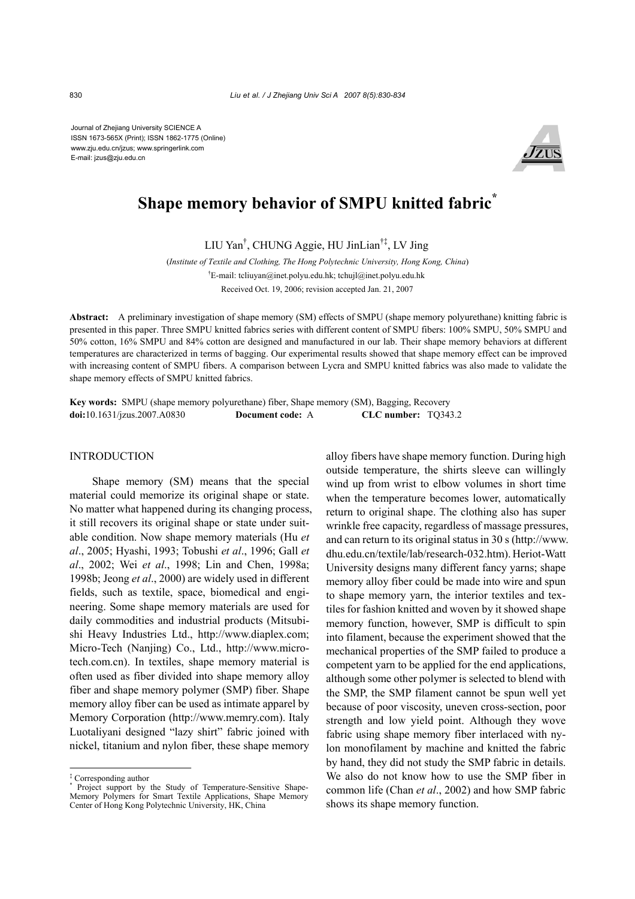Journal of Zhejiang University SCIENCE A ISSN 1673-565X (Print); ISSN 1862-1775 (Online) www.zju.edu.cn/jzus; www.springerlink.com E-mail: jzus@zju.edu.cn



# **Shape memory behavior of SMPU knitted fabric\***

LIU Yan† , CHUNG Aggie, HU JinLian†‡, LV Jing

(*Institute of Textile and Clothing, The Hong Polytechnic University, Hong Kong, China*) † E-mail: tcliuyan@inet.polyu.edu.hk; tchujl@inet.polyu.edu.hk Received Oct. 19, 2006; revision accepted Jan. 21, 2007

**Abstract:** A preliminary investigation of shape memory (SM) effects of SMPU (shape memory polyurethane) knitting fabric is presented in this paper. Three SMPU knitted fabrics series with different content of SMPU fibers: 100% SMPU, 50% SMPU and 50% cotton, 16% SMPU and 84% cotton are designed and manufactured in our lab. Their shape memory behaviors at different temperatures are characterized in terms of bagging. Our experimental results showed that shape memory effect can be improved with increasing content of SMPU fibers. A comparison between Lycra and SMPU knitted fabrics was also made to validate the shape memory effects of SMPU knitted fabrics.

**Key words:** SMPU (shape memory polyurethane) fiber, Shape memory (SM), Bagging, Recovery **doi:**10.1631/jzus.2007.A0830 **Document code:** A **CLC number:** TQ343.2

#### INTRODUCTION

Shape memory (SM) means that the special material could memorize its original shape or state. No matter what happened during its changing process, it still recovers its original shape or state under suitable condition. Now shape memory materials (Hu *et al*., 2005; Hyashi, 1993; Tobushi *et al*., 1996; Gall *et al*., 2002; Wei *et al*., 1998; Lin and Chen, 1998a; 1998b; Jeong *et al*., 2000) are widely used in different fields, such as textile, space, biomedical and engineering. Some shape memory materials are used for daily commodities and industrial products (Mitsubishi Heavy Industries Ltd., http://www.diaplex.com; Micro-Tech (Nanjing) Co., Ltd., http://www.microtech.com.cn). In textiles, shape memory material is often used as fiber divided into shape memory alloy fiber and shape memory polymer (SMP) fiber. Shape memory alloy fiber can be used as intimate apparel by Memory Corporation (http://www.memry.com). Italy Luotaliyani designed "lazy shirt" fabric joined with nickel, titanium and nylon fiber, these shape memory

alloy fibers have shape memory function. During high outside temperature, the shirts sleeve can willingly wind up from wrist to elbow volumes in short time when the temperature becomes lower, automatically return to original shape. The clothing also has super wrinkle free capacity, regardless of massage pressures, and can return to its original status in 30 s (http://www. dhu.edu.cn/textile/lab/research-032.htm). Heriot-Watt University designs many different fancy yarns; shape memory alloy fiber could be made into wire and spun to shape memory yarn, the interior textiles and textiles for fashion knitted and woven by it showed shape memory function, however, SMP is difficult to spin into filament, because the experiment showed that the mechanical properties of the SMP failed to produce a competent yarn to be applied for the end applications, although some other polymer is selected to blend with the SMP, the SMP filament cannot be spun well yet because of poor viscosity, uneven cross-section, poor strength and low yield point. Although they wove fabric using shape memory fiber interlaced with nylon monofilament by machine and knitted the fabric by hand, they did not study the SMP fabric in details. We also do not know how to use the SMP fiber in common life (Chan *et al*., 2002) and how SMP fabric shows its shape memory function.

<sup>&</sup>lt;sup>‡</sup> Corresponding author

Project support by the Study of Temperature-Sensitive Shape-Memory Polymers for Smart Textile Applications, Shape Memory Center of Hong Kong Polytechnic University, HK, China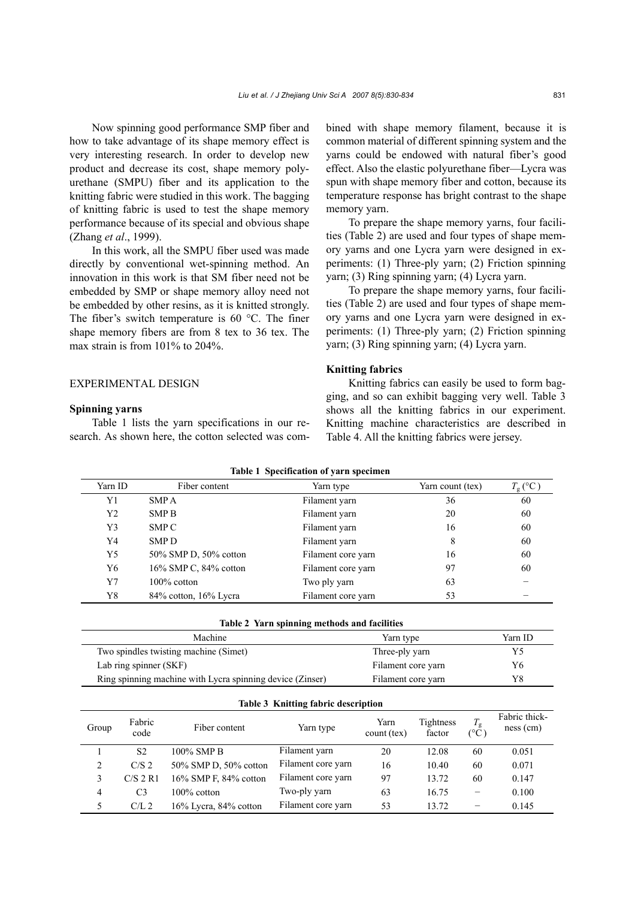Now spinning good performance SMP fiber and how to take advantage of its shape memory effect is very interesting research. In order to develop new product and decrease its cost, shape memory polyurethane (SMPU) fiber and its application to the knitting fabric were studied in this work. The bagging of knitting fabric is used to test the shape memory performance because of its special and obvious shape (Zhang *et al*., 1999).

In this work, all the SMPU fiber used was made directly by conventional wet-spinning method. An innovation in this work is that SM fiber need not be embedded by SMP or shape memory alloy need not be embedded by other resins, as it is knitted strongly. The fiber's switch temperature is 60 °C. The finer shape memory fibers are from 8 tex to 36 tex. The max strain is from 101% to 204%.

#### EXPERIMENTAL DESIGN

# **Spinning yarns**

Table 1 lists the yarn specifications in our research. As shown here, the cotton selected was combined with shape memory filament, because it is common material of different spinning system and the yarns could be endowed with natural fiber's good effect. Also the elastic polyurethane fiber—Lycra was spun with shape memory fiber and cotton, because its temperature response has bright contrast to the shape memory yarn.

To prepare the shape memory yarns, four facilities (Table 2) are used and four types of shape memory yarns and one Lycra yarn were designed in experiments: (1) Three-ply yarn; (2) Friction spinning yarn; (3) Ring spinning yarn; (4) Lycra yarn.

To prepare the shape memory yarns, four facilities (Table 2) are used and four types of shape memory yarns and one Lycra yarn were designed in experiments: (1) Three-ply yarn; (2) Friction spinning yarn; (3) Ring spinning yarn; (4) Lycra yarn.

# **Knitting fabrics**

Knitting fabrics can easily be used to form bagging, and so can exhibit bagging very well. Table 3 shows all the knitting fabrics in our experiment. Knitting machine characteristics are described in Table 4. All the knitting fabrics were jersey.

| Yarn ID | Fiber content         | Yarn type          | Yarn count (tex) | $T_{\rm g}$ (°C] |
|---------|-----------------------|--------------------|------------------|------------------|
| Y1      | <b>SMPA</b>           | Filament yarn      | 36               | 60               |
| Y2      | <b>SMP B</b>          | Filament yarn      | 20               | 60               |
| Y3      | SMP C                 | Filament yarn      | 16               | 60               |
| Y4      | <b>SMPD</b>           | Filament yarn      | 8                | 60               |
| Y5      | 50% SMP D, 50% cotton | Filament core yarn | 16               | 60               |
| Y6      | 16% SMP C, 84% cotton | Filament core yarn | 97               | 60               |
| Y7      | $100\%$ cotton        | Two ply yarn       | 63               |                  |
| Y8      | 84% cotton, 16% Lycra | Filament core yarn | 53               |                  |

| Table 1 Specification of yarn specimen |  |  |
|----------------------------------------|--|--|
|----------------------------------------|--|--|

| Table 2 Yarn spinning methods and facilities |  |  |  |  |  |  |
|----------------------------------------------|--|--|--|--|--|--|
|----------------------------------------------|--|--|--|--|--|--|

| Machine                                                   | Yarn type          | Yarn ID |
|-----------------------------------------------------------|--------------------|---------|
| Two spindles twisting machine (Simet)                     | Three-ply yarn     | Y 5     |
| Lab ring spinner (SKF)                                    | Filament core yarn | Y6      |
| Ring spinning machine with Lycra spinning device (Zinser) | Filament core yarn | Y8      |

| Table 3 Knitting fabric description |                |                       |                    |                       |                            |                                      |                              |
|-------------------------------------|----------------|-----------------------|--------------------|-----------------------|----------------------------|--------------------------------------|------------------------------|
| Group                               | Fabric<br>code | Fiber content         | Yarn type          | Yarn<br>$count$ (tex) | <b>Tightness</b><br>factor | $T_{\rm g}$<br>${}^{\prime\circ}$ C, | Fabric thick-<br>$ness$ (cm) |
|                                     | S <sub>2</sub> | 100% SMP B            | Filament yarn      | 20                    | 12.08                      | 60                                   | 0.051                        |
| 2                                   | C/S 2          | 50% SMP D, 50% cotton | Filament core yarn | 16                    | 10.40                      | 60                                   | 0.071                        |
| 3                                   | $C/S$ 2 R1     | 16% SMP F, 84% cotton | Filament core yarn | 97                    | 13.72                      | 60                                   | 0.147                        |
| $\overline{4}$                      | C <sub>3</sub> | $100\%$ cotton        | Two-ply yarn       | 63                    | 16.75                      | -                                    | 0.100                        |
| 5                                   | C/L2           | 16% Lycra, 84% cotton | Filament core yarn | 53                    | 13.72                      |                                      | 0.145                        |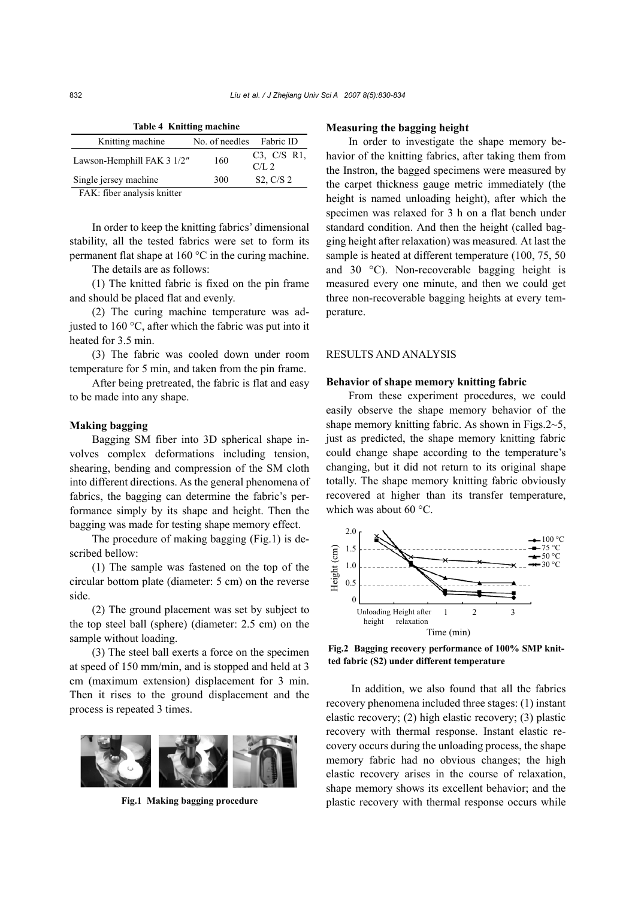| Table 4 Knitting machine   |                          |                                       |  |  |  |  |
|----------------------------|--------------------------|---------------------------------------|--|--|--|--|
| Knitting machine           | No. of needles Fabric ID |                                       |  |  |  |  |
| Lawson-Hemphill FAK 3 1/2" | 160                      | $C3$ , $C/S$ R <sub>1</sub> ,<br>C/L2 |  |  |  |  |
| Single jersey machine      | 300                      | S2, C/S2                              |  |  |  |  |
| .                          |                          |                                       |  |  |  |  |

FAK: fiber analysis knitter

In order to keep the knitting fabrics' dimensional stability, all the tested fabrics were set to form its permanent flat shape at 160 °C in the curing machine.

The details are as follows:

(1) The knitted fabric is fixed on the pin frame and should be placed flat and evenly.

(2) The curing machine temperature was adjusted to 160 °C, after which the fabric was put into it heated for 3.5 min.

(3) The fabric was cooled down under room temperature for 5 min, and taken from the pin frame.

After being pretreated, the fabric is flat and easy to be made into any shape.

# **Making bagging**

Bagging SM fiber into 3D spherical shape involves complex deformations including tension, shearing, bending and compression of the SM cloth into different directions. As the general phenomena of fabrics, the bagging can determine the fabric's performance simply by its shape and height. Then the bagging was made for testing shape memory effect.

The procedure of making bagging (Fig.1) is described bellow:

(1) The sample was fastened on the top of the circular bottom plate (diameter: 5 cm) on the reverse side.

(2) The ground placement was set by subject to the top steel ball (sphere) (diameter: 2.5 cm) on the sample without loading.

(3) The steel ball exerts a force on the specimen at speed of 150 mm/min, and is stopped and held at 3 cm (maximum extension) displacement for 3 min. Then it rises to the ground displacement and the process is repeated 3 times.



**Fig.1 Making bagging procedure** 

#### **Measuring the bagging height**

In order to investigate the shape memory behavior of the knitting fabrics, after taking them from the Instron, the bagged specimens were measured by the carpet thickness gauge metric immediately (the height is named unloading height), after which the specimen was relaxed for 3 h on a flat bench under standard condition. And then the height (called bagging height after relaxation) was measured*.* At last the sample is heated at different temperature (100, 75, 50) and 30 °C). Non-recoverable bagging height is measured every one minute, and then we could get three non-recoverable bagging heights at every temperature.

## RESULTS AND ANALYSIS

#### **Behavior of shape memory knitting fabric**

From these experiment procedures, we could easily observe the shape memory behavior of the shape memory knitting fabric. As shown in Figs.2~5, just as predicted, the shape memory knitting fabric could change shape according to the temperature's changing, but it did not return to its original shape totally. The shape memory knitting fabric obviously recovered at higher than its transfer temperature, which was about 60 °C.



**Fig.2 Bagging recovery performance of 100% SMP knitted fabric (S2) under different temperature**

 In addition, we also found that all the fabrics recovery phenomena included three stages: (1) instant elastic recovery; (2) high elastic recovery; (3) plastic recovery with thermal response. Instant elastic recovery occurs during the unloading process, the shape memory fabric had no obvious changes; the high elastic recovery arises in the course of relaxation, shape memory shows its excellent behavior; and the plastic recovery with thermal response occurs while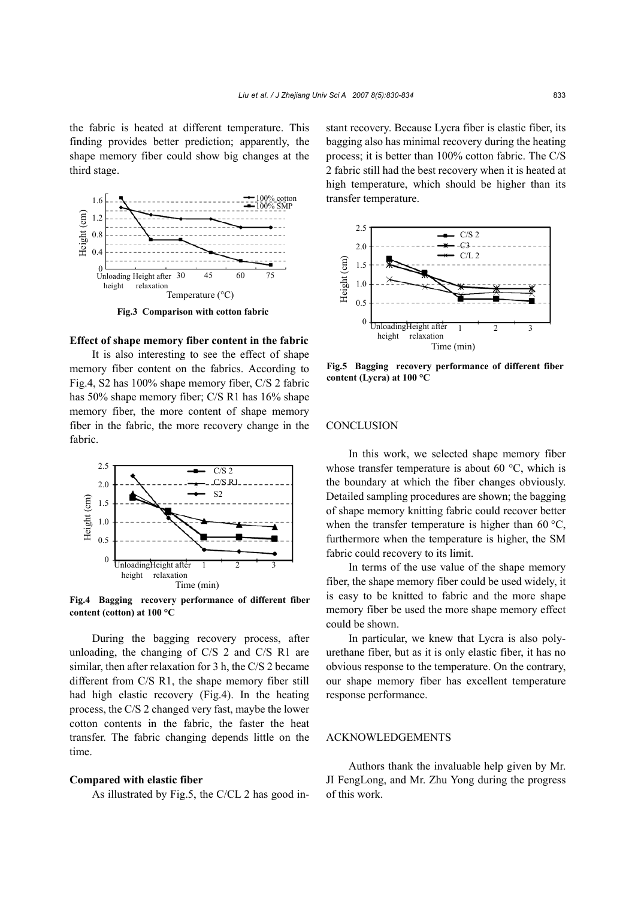the fabric is heated at different temperature. This finding provides better prediction; apparently, the shape memory fiber could show big changes at the third stage.



**Fig.3 Comparison with cotton fabric** 

#### **Effect of shape memory fiber content in the fabric**

It is also interesting to see the effect of shape memory fiber content on the fabrics. According to Fig.4, S2 has 100% shape memory fiber, C/S 2 fabric has 50% shape memory fiber; C/S R1 has 16% shape memory fiber, the more content of shape memory fiber in the fabric, the more recovery change in the fabric.



**Fig.4 Bagging recovery performance of different fiber content (cotton) at 100 °C** 

During the bagging recovery process, after unloading, the changing of C/S 2 and C/S R1 are similar, then after relaxation for 3 h, the C/S 2 became different from C/S R1, the shape memory fiber still had high elastic recovery (Fig.4). In the heating process, the C/S 2 changed very fast, maybe the lower cotton contents in the fabric, the faster the heat transfer. The fabric changing depends little on the time.

#### **Compared with elastic fiber**

As illustrated by Fig.5, the C/CL 2 has good in-

stant recovery. Because Lycra fiber is elastic fiber, its bagging also has minimal recovery during the heating process; it is better than 100% cotton fabric. The C/S 2 fabric still had the best recovery when it is heated at high temperature, which should be higher than its transfer temperature.



**Fig.5 Bagging recovery performance of different fiber content (Lycra) at 100 °C** 

# **CONCLUSION**

In this work, we selected shape memory fiber whose transfer temperature is about 60 °C, which is the boundary at which the fiber changes obviously. Detailed sampling procedures are shown; the bagging of shape memory knitting fabric could recover better when the transfer temperature is higher than 60  $\degree$ C, furthermore when the temperature is higher, the SM fabric could recovery to its limit.

In terms of the use value of the shape memory fiber, the shape memory fiber could be used widely, it is easy to be knitted to fabric and the more shape memory fiber be used the more shape memory effect could be shown.

In particular, we knew that Lycra is also polyurethane fiber, but as it is only elastic fiber, it has no obvious response to the temperature. On the contrary, our shape memory fiber has excellent temperature response performance.

# ACKNOWLEDGEMENTS

Authors thank the invaluable help given by Mr. JI FengLong, and Mr. Zhu Yong during the progress of this work.